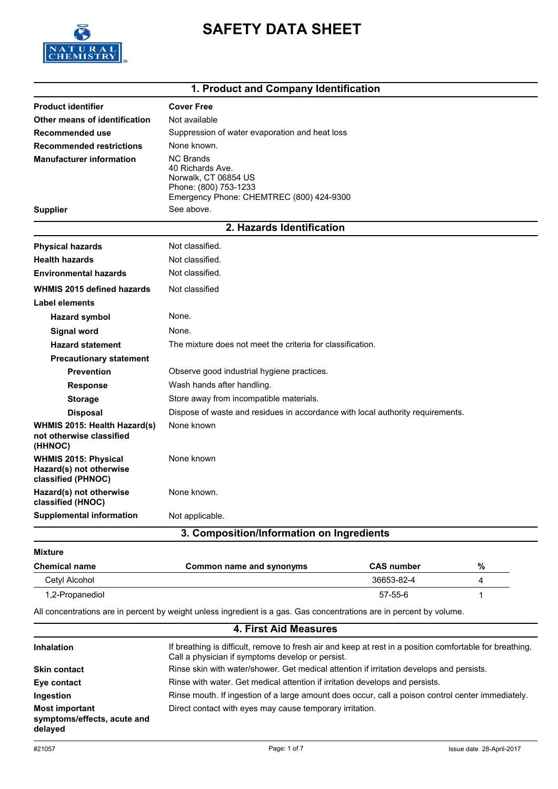

# **SAFETY DATA SHEET**

## **1. Product and Company Identification**

| <b>Product identifier</b>                                                    | <b>Cover Free</b>                                                                                                                 |  |  |  |  |
|------------------------------------------------------------------------------|-----------------------------------------------------------------------------------------------------------------------------------|--|--|--|--|
| Other means of identification                                                | Not available                                                                                                                     |  |  |  |  |
| Recommended use                                                              | Suppression of water evaporation and heat loss                                                                                    |  |  |  |  |
| <b>Recommended restrictions</b>                                              | None known.                                                                                                                       |  |  |  |  |
| <b>Manufacturer information</b>                                              | <b>NC Brands</b><br>40 Richards Ave.<br>Norwalk, CT 06854 US<br>Phone: (800) 753-1233<br>Emergency Phone: CHEMTREC (800) 424-9300 |  |  |  |  |
| <b>Supplier</b>                                                              | See above.                                                                                                                        |  |  |  |  |
|                                                                              | 2. Hazards Identification                                                                                                         |  |  |  |  |
| <b>Physical hazards</b>                                                      | Not classified.                                                                                                                   |  |  |  |  |
| <b>Health hazards</b>                                                        | Not classified.                                                                                                                   |  |  |  |  |
| <b>Environmental hazards</b>                                                 | Not classified.                                                                                                                   |  |  |  |  |
| <b>WHMIS 2015 defined hazards</b>                                            | Not classified                                                                                                                    |  |  |  |  |
| Label elements                                                               |                                                                                                                                   |  |  |  |  |
| <b>Hazard symbol</b>                                                         | None.                                                                                                                             |  |  |  |  |
| <b>Signal word</b>                                                           | None.                                                                                                                             |  |  |  |  |
| <b>Hazard statement</b>                                                      | The mixture does not meet the criteria for classification.                                                                        |  |  |  |  |
| <b>Precautionary statement</b>                                               |                                                                                                                                   |  |  |  |  |
| <b>Prevention</b>                                                            | Observe good industrial hygiene practices.                                                                                        |  |  |  |  |
| <b>Response</b>                                                              | Wash hands after handling.                                                                                                        |  |  |  |  |
| <b>Storage</b>                                                               | Store away from incompatible materials.                                                                                           |  |  |  |  |
| <b>Disposal</b>                                                              | Dispose of waste and residues in accordance with local authority requirements.                                                    |  |  |  |  |
| WHMIS 2015: Health Hazard(s)<br>not otherwise classified<br>(HHNOC)          | None known                                                                                                                        |  |  |  |  |
| <b>WHMIS 2015: Physical</b><br>Hazard(s) not otherwise<br>classified (PHNOC) | None known                                                                                                                        |  |  |  |  |
| Hazard(s) not otherwise<br>classified (HNOC)                                 | None known.                                                                                                                       |  |  |  |  |
| <b>Supplemental information</b>                                              | Not applicable.                                                                                                                   |  |  |  |  |
|                                                                              | 3. Composition/Information on Ingredients                                                                                         |  |  |  |  |
| <b>Mixture</b>                                                               |                                                                                                                                   |  |  |  |  |

| <b>Chemical name</b> | Common name and synonyms | <b>CAS number</b> | % |
|----------------------|--------------------------|-------------------|---|
| Cetyl Alcohol        |                          | 36653-82-4        |   |
| 1,2-Propanediol      |                          | 57-55-6           |   |

All concentrations are in percent by weight unless ingredient is a gas. Gas concentrations are in percent by volume.

### **4. First Aid Measures**

| <b>Inhalation</b>                                               | If breathing is difficult, remove to fresh air and keep at rest in a position comfortable for breathing.<br>Call a physician if symptoms develop or persist. |
|-----------------------------------------------------------------|--------------------------------------------------------------------------------------------------------------------------------------------------------------|
| <b>Skin contact</b>                                             | Rinse skin with water/shower. Get medical attention if irritation develops and persists.                                                                     |
| Eye contact                                                     | Rinse with water. Get medical attention if irritation develops and persists.                                                                                 |
| Ingestion                                                       | Rinse mouth. If ingestion of a large amount does occur, call a poison control center immediately.                                                            |
| <b>Most important</b><br>symptoms/effects, acute and<br>delayed | Direct contact with eyes may cause temporary irritation.                                                                                                     |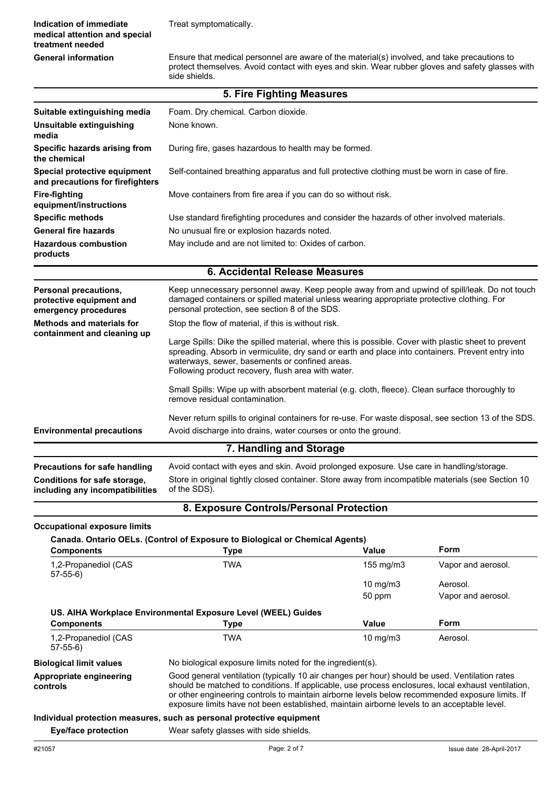Ensure that medical personnel are aware of the material(s) involved, and take precautions to protect themselves. Avoid contact with eyes and skin. Wear rubber gloves and safety glasses with side shields.

|                                                                           | 5. Fire Fighting Measures                                                                                                                                                                                                                                                                                         |  |  |  |
|---------------------------------------------------------------------------|-------------------------------------------------------------------------------------------------------------------------------------------------------------------------------------------------------------------------------------------------------------------------------------------------------------------|--|--|--|
| Suitable extinguishing media                                              | Foam. Dry chemical. Carbon dioxide.                                                                                                                                                                                                                                                                               |  |  |  |
| Unsuitable extinguishing<br>media                                         | None known.                                                                                                                                                                                                                                                                                                       |  |  |  |
| Specific hazards arising from<br>the chemical                             | During fire, gases hazardous to health may be formed.                                                                                                                                                                                                                                                             |  |  |  |
| Special protective equipment<br>and precautions for firefighters          | Self-contained breathing apparatus and full protective clothing must be worn in case of fire.                                                                                                                                                                                                                     |  |  |  |
| <b>Fire-fighting</b><br>equipment/instructions                            | Move containers from fire area if you can do so without risk.                                                                                                                                                                                                                                                     |  |  |  |
| <b>Specific methods</b>                                                   | Use standard firefighting procedures and consider the hazards of other involved materials.                                                                                                                                                                                                                        |  |  |  |
| <b>General fire hazards</b>                                               | No unusual fire or explosion hazards noted.                                                                                                                                                                                                                                                                       |  |  |  |
| <b>Hazardous combustion</b><br>products                                   | May include and are not limited to: Oxides of carbon.                                                                                                                                                                                                                                                             |  |  |  |
|                                                                           | 6. Accidental Release Measures                                                                                                                                                                                                                                                                                    |  |  |  |
| Personal precautions,<br>protective equipment and<br>emergency procedures | Keep unnecessary personnel away. Keep people away from and upwind of spill/leak. Do not touch<br>damaged containers or spilled material unless wearing appropriate protective clothing. For<br>personal protection, see section 8 of the SDS.                                                                     |  |  |  |
| <b>Methods and materials for</b>                                          | Stop the flow of material, if this is without risk.                                                                                                                                                                                                                                                               |  |  |  |
| containment and cleaning up                                               | Large Spills: Dike the spilled material, where this is possible. Cover with plastic sheet to prevent<br>spreading. Absorb in vermiculite, dry sand or earth and place into containers. Prevent entry into<br>waterways, sewer, basements or confined areas.<br>Following product recovery, flush area with water. |  |  |  |
|                                                                           | Small Spills: Wipe up with absorbent material (e.g. cloth, fleece). Clean surface thoroughly to<br>remove residual contamination.                                                                                                                                                                                 |  |  |  |
| <b>Environmental precautions</b>                                          | Never return spills to original containers for re-use. For waste disposal, see section 13 of the SDS.<br>Avoid discharge into drains, water courses or onto the ground.                                                                                                                                           |  |  |  |
|                                                                           | 7. Handling and Storage                                                                                                                                                                                                                                                                                           |  |  |  |
| <b>Precautions for safe handling</b><br>Conditions for safe storage.      | Avoid contact with eyes and skin. Avoid prolonged exposure. Use care in handling/storage.<br>Store in original fightly closed container. Store away from incompatible materials (see Section 10                                                                                                                   |  |  |  |

Store in original tightly closed container. Store away from incompatible materials (see Section 10 of the SDS). **Conditions for safe storage, including any incompatibilities**

#### **8. Exposure Controls/Personal Protection**

**Occupational exposure limits**

| <b>Components</b>                 | <b>Type</b>                                                   | Value              | <b>Form</b>        |
|-----------------------------------|---------------------------------------------------------------|--------------------|--------------------|
| 1,2-Propanediol (CAS<br>$57-55-6$ | TWA                                                           | $155 \text{ mg/m}$ | Vapor and aerosol. |
|                                   |                                                               | $10 \text{ mg/m}$  | Aerosol.           |
|                                   |                                                               | 50 ppm             | Vapor and aerosol. |
|                                   | US. AIHA Workplace Environmental Exposure Level (WEEL) Guides |                    |                    |
| <b>Components</b>                 | <b>Type</b>                                                   | Value              | <b>Form</b>        |
| 1,2-Propanediol (CAS              | TWA                                                           | $10 \text{ mg/m}$  | Aerosol.           |
| $57-55-6$                         |                                                               |                    |                    |
| <b>Biological limit values</b>    | No biological exposure limits noted for the ingredient(s).    |                    |                    |

**Eye/face protection** Wear safety glasses with side shields.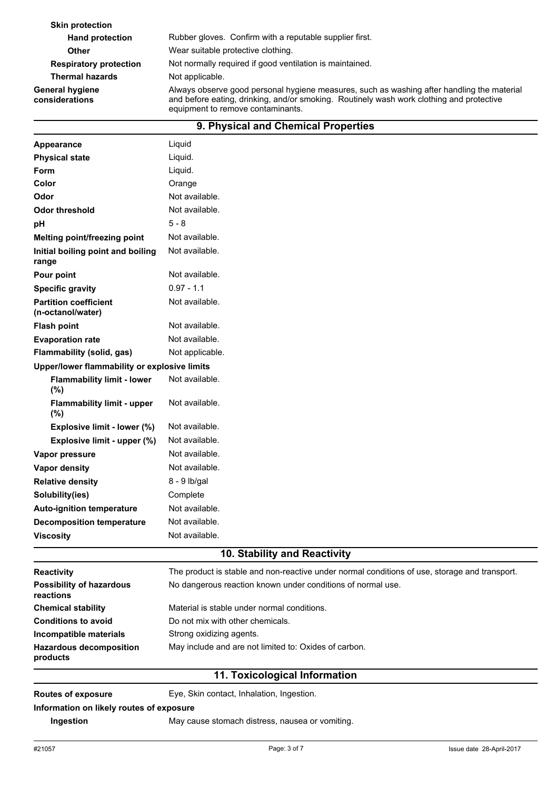| <b>Skin protection</b>            |                                                                                                                                                                                                                             |  |  |  |
|-----------------------------------|-----------------------------------------------------------------------------------------------------------------------------------------------------------------------------------------------------------------------------|--|--|--|
| <b>Hand protection</b>            | Rubber gloves. Confirm with a reputable supplier first.                                                                                                                                                                     |  |  |  |
| <b>Other</b>                      | Wear suitable protective clothing.                                                                                                                                                                                          |  |  |  |
| <b>Respiratory protection</b>     | Not normally required if good ventilation is maintained.                                                                                                                                                                    |  |  |  |
| <b>Thermal hazards</b>            | Not applicable.                                                                                                                                                                                                             |  |  |  |
| General hygiene<br>considerations | Always observe good personal hygiene measures, such as washing after handling the material<br>and before eating, drinking, and/or smoking. Routinely wash work clothing and protective<br>equipment to remove contaminants. |  |  |  |
|                                   | 9. Physical and Chemical Properties                                                                                                                                                                                         |  |  |  |

| Appearance                                        | Liquid                       |
|---------------------------------------------------|------------------------------|
| <b>Physical state</b>                             | Liquid.                      |
| <b>Form</b>                                       | Liquid.                      |
| Color                                             | Orange                       |
| Odor                                              | Not available.               |
| <b>Odor threshold</b>                             | Not available.               |
| pH                                                | $5 - 8$                      |
| Melting point/freezing point                      | Not available.               |
| Initial boiling point and boiling<br>range        | Not available.               |
| Pour point                                        | Not available.               |
| <b>Specific gravity</b>                           | $0.97 - 1.1$                 |
| <b>Partition coefficient</b><br>(n-octanol/water) | Not available.               |
| <b>Flash point</b>                                | Not available.               |
| <b>Evaporation rate</b>                           | Not available.               |
| Flammability (solid, gas)                         | Not applicable.              |
| Upper/lower flammability or explosive limits      |                              |
| <b>Flammability limit - lower</b><br>(%)          | Not available.               |
| <b>Flammability limit - upper</b><br>(%)          | Not available.               |
| Explosive limit - lower (%)                       | Not available.               |
| Explosive limit - upper (%)                       | Not available.               |
| Vapor pressure                                    | Not available.               |
| <b>Vapor density</b>                              | Not available.               |
| <b>Relative density</b>                           | 8 - 9 lb/gal                 |
| Solubility(ies)                                   | Complete                     |
| <b>Auto-ignition temperature</b>                  | Not available.               |
| <b>Decomposition temperature</b>                  | Not available.               |
| <b>Viscosity</b>                                  | Not available.               |
|                                                   | 10. Stability and Reactivity |

| <b>Reactivity</b>                            | The product is stable and non-reactive under normal conditions of use, storage and transport. |  |  |  |  |
|----------------------------------------------|-----------------------------------------------------------------------------------------------|--|--|--|--|
| <b>Possibility of hazardous</b><br>reactions | No dangerous reaction known under conditions of normal use.                                   |  |  |  |  |
| <b>Chemical stability</b>                    | Material is stable under normal conditions.                                                   |  |  |  |  |
| <b>Conditions to avoid</b>                   | Do not mix with other chemicals.                                                              |  |  |  |  |
| Incompatible materials                       | Strong oxidizing agents.                                                                      |  |  |  |  |
| <b>Hazardous decomposition</b><br>products   | May include and are not limited to: Oxides of carbon.                                         |  |  |  |  |
| 11 Tovicological Information                 |                                                                                               |  |  |  |  |

#### **11. Toxicological Information**

**Routes of exposure** Eye, Skin contact, Inhalation, Ingestion.

**Information on likely routes of exposure**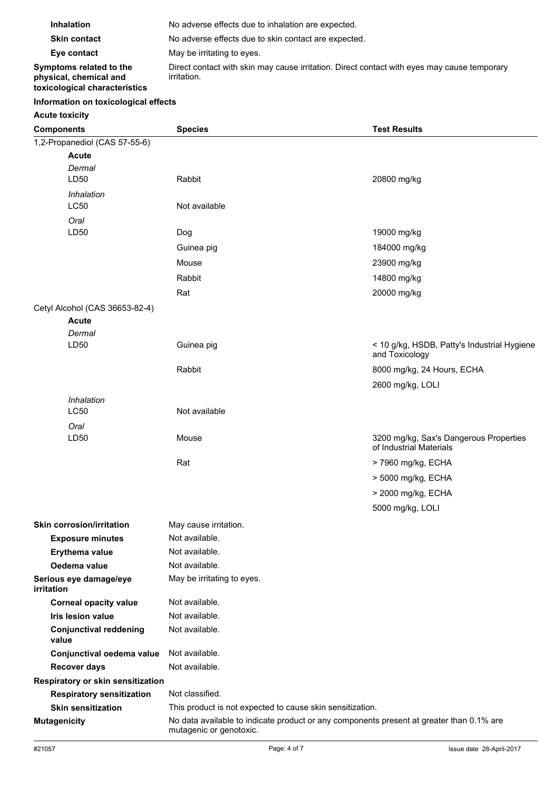| <b>Inhalation</b>                                                                  | No adverse effects due to inhalation are expected.                                                         |  |  |  |
|------------------------------------------------------------------------------------|------------------------------------------------------------------------------------------------------------|--|--|--|
| <b>Skin contact</b>                                                                | No adverse effects due to skin contact are expected.                                                       |  |  |  |
| Eye contact                                                                        | May be irritating to eyes.                                                                                 |  |  |  |
| Symptoms related to the<br>physical, chemical and<br>toxicological characteristics | Direct contact with skin may cause irritation. Direct contact with eyes may cause temporary<br>irritation. |  |  |  |

## **Information on toxicological effects**

## **Acute toxicity**

| <b>Components</b>                      | <b>Species</b>                                                                                                      | <b>Test Results</b>                                               |  |
|----------------------------------------|---------------------------------------------------------------------------------------------------------------------|-------------------------------------------------------------------|--|
| 1,2-Propanediol (CAS 57-55-6)          |                                                                                                                     |                                                                   |  |
| <b>Acute</b>                           |                                                                                                                     |                                                                   |  |
| Dermal                                 |                                                                                                                     |                                                                   |  |
| LD50                                   | Rabbit                                                                                                              | 20800 mg/kg                                                       |  |
| Inhalation                             |                                                                                                                     |                                                                   |  |
| <b>LC50</b>                            | Not available                                                                                                       |                                                                   |  |
| Oral                                   |                                                                                                                     |                                                                   |  |
| LD50                                   | Dog                                                                                                                 | 19000 mg/kg                                                       |  |
|                                        | Guinea pig                                                                                                          | 184000 mg/kg                                                      |  |
|                                        | Mouse                                                                                                               | 23900 mg/kg                                                       |  |
|                                        | Rabbit                                                                                                              | 14800 mg/kg                                                       |  |
|                                        | Rat                                                                                                                 | 20000 mg/kg                                                       |  |
| Cetyl Alcohol (CAS 36653-82-4)         |                                                                                                                     |                                                                   |  |
| <b>Acute</b>                           |                                                                                                                     |                                                                   |  |
| Dermal                                 |                                                                                                                     |                                                                   |  |
| LD50                                   | Guinea pig                                                                                                          | < 10 g/kg, HSDB, Patty's Industrial Hygiene<br>and Toxicology     |  |
|                                        | Rabbit                                                                                                              | 8000 mg/kg, 24 Hours, ECHA                                        |  |
|                                        |                                                                                                                     | 2600 mg/kg, LOLI                                                  |  |
| Inhalation                             |                                                                                                                     |                                                                   |  |
| <b>LC50</b>                            | Not available                                                                                                       |                                                                   |  |
| Oral                                   |                                                                                                                     |                                                                   |  |
| LD50                                   | Mouse                                                                                                               | 3200 mg/kg, Sax's Dangerous Properties<br>of Industrial Materials |  |
|                                        | Rat                                                                                                                 | > 7960 mg/kg, ECHA                                                |  |
|                                        |                                                                                                                     | > 5000 mg/kg, ECHA                                                |  |
|                                        |                                                                                                                     | > 2000 mg/kg, ECHA                                                |  |
|                                        |                                                                                                                     | 5000 mg/kg, LOLI                                                  |  |
| <b>Skin corrosion/irritation</b>       | May cause irritation.                                                                                               |                                                                   |  |
| <b>Exposure minutes</b>                | Not available.                                                                                                      |                                                                   |  |
| Erythema value                         | Not available.                                                                                                      |                                                                   |  |
| Oedema value                           | Not available.                                                                                                      |                                                                   |  |
| Serious eye damage/eye                 | May be irritating to eyes.                                                                                          |                                                                   |  |
| irritation                             |                                                                                                                     |                                                                   |  |
| <b>Corneal opacity value</b>           | Not available.                                                                                                      |                                                                   |  |
| <b>Iris lesion value</b>               | Not available.                                                                                                      |                                                                   |  |
| <b>Conjunctival reddening</b><br>value | Not available.                                                                                                      |                                                                   |  |
| Conjunctival oedema value              | Not available.                                                                                                      |                                                                   |  |
| <b>Recover days</b>                    | Not available.                                                                                                      |                                                                   |  |
| Respiratory or skin sensitization      |                                                                                                                     |                                                                   |  |
| <b>Respiratory sensitization</b>       | Not classified.                                                                                                     |                                                                   |  |
| <b>Skin sensitization</b>              | This product is not expected to cause skin sensitization.                                                           |                                                                   |  |
| <b>Mutagenicity</b>                    | No data available to indicate product or any components present at greater than 0.1% are<br>mutagenic or genotoxic. |                                                                   |  |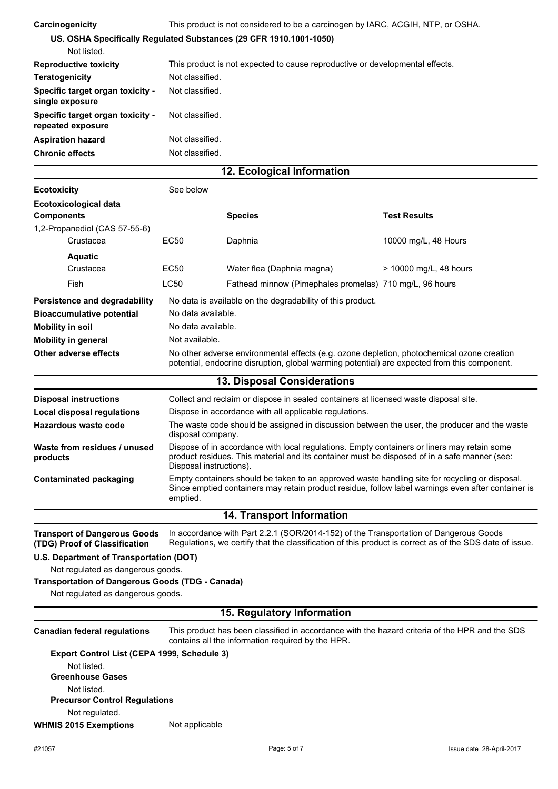| Carcinogenicity                                       | This product is not considered to be a carcinogen by IARC, ACGIH, NTP, or OSHA. |  |  |  |  |
|-------------------------------------------------------|---------------------------------------------------------------------------------|--|--|--|--|
|                                                       | US. OSHA Specifically Regulated Substances (29 CFR 1910.1001-1050)              |  |  |  |  |
| Not listed.                                           |                                                                                 |  |  |  |  |
| <b>Reproductive toxicity</b>                          | This product is not expected to cause reproductive or developmental effects.    |  |  |  |  |
| <b>Teratogenicity</b>                                 | Not classified.                                                                 |  |  |  |  |
| Specific target organ toxicity -<br>single exposure   | Not classified.                                                                 |  |  |  |  |
| Specific target organ toxicity -<br>repeated exposure | Not classified.                                                                 |  |  |  |  |
| <b>Aspiration hazard</b>                              | Not classified.                                                                 |  |  |  |  |
| <b>Chronic effects</b>                                | Not classified.                                                                 |  |  |  |  |
|                                                       | 12. Ecological Information                                                      |  |  |  |  |
|                                                       |                                                                                 |  |  |  |  |

| <b>Ecotoxicity</b>                                | See below                                                                                                                                                                                  |                                                         |                        |
|---------------------------------------------------|--------------------------------------------------------------------------------------------------------------------------------------------------------------------------------------------|---------------------------------------------------------|------------------------|
| <b>Ecotoxicological data</b><br><b>Components</b> |                                                                                                                                                                                            | <b>Species</b>                                          | <b>Test Results</b>    |
| 1,2-Propanediol (CAS 57-55-6)                     |                                                                                                                                                                                            |                                                         |                        |
| Crustacea                                         | EC50                                                                                                                                                                                       | Daphnia                                                 | 10000 mg/L, 48 Hours   |
| <b>Aquatic</b>                                    |                                                                                                                                                                                            |                                                         |                        |
| Crustacea                                         | EC <sub>50</sub>                                                                                                                                                                           | Water flea (Daphnia magna)                              | > 10000 mg/L, 48 hours |
| Fish                                              | LC50                                                                                                                                                                                       | Fathead minnow (Pimephales promelas) 710 mg/L, 96 hours |                        |
| Persistence and degradability                     | No data is available on the degradability of this product.                                                                                                                                 |                                                         |                        |
| <b>Bioaccumulative potential</b>                  | No data available.                                                                                                                                                                         |                                                         |                        |
| <b>Mobility in soil</b>                           | No data available.                                                                                                                                                                         |                                                         |                        |
| <b>Mobility in general</b>                        | Not available.                                                                                                                                                                             |                                                         |                        |
| Other adverse effects                             | No other adverse environmental effects (e.g. ozone depletion, photochemical ozone creation<br>potential, endocrine disruption, global warming potential) are expected from this component. |                                                         |                        |

| <b>13. Disposal Considerations</b>       |                                                                                                                                                                                                                        |  |
|------------------------------------------|------------------------------------------------------------------------------------------------------------------------------------------------------------------------------------------------------------------------|--|
| <b>Disposal instructions</b>             | Collect and reclaim or dispose in sealed containers at licensed waste disposal site.                                                                                                                                   |  |
| Local disposal regulations               | Dispose in accordance with all applicable regulations.                                                                                                                                                                 |  |
| Hazardous waste code                     | The waste code should be assigned in discussion between the user, the producer and the waste<br>disposal company.                                                                                                      |  |
| Waste from residues / unused<br>products | Dispose of in accordance with local regulations. Empty containers or liners may retain some<br>product residues. This material and its container must be disposed of in a safe manner (see:<br>Disposal instructions). |  |
| Contaminated packaging                   | Empty containers should be taken to an approved waste handling site for recycling or disposal.<br>Since emptied containers may retain product residue, follow label warnings even after container is<br>emptied.       |  |
|                                          | <b>14. Transport Information</b>                                                                                                                                                                                       |  |

In accordance with Part 2.2.1 (SOR/2014-152) of the Transportation of Dangerous Goods Regulations, we certify that the classification of this product is correct as of the SDS date of issue. **Transport of Dangerous Goods (TDG) Proof of Classification**

#### **U.S. Department of Transportation (DOT)**

Not regulated as dangerous goods.

## **Transportation of Dangerous Goods (TDG - Canada)**

Not regulated as dangerous goods.

# **15. Regulatory Information**

| <b>Canadian federal regulations</b>         | This product has been classified in accordance with the hazard criteria of the HPR and the SDS<br>contains all the information required by the HPR. |
|---------------------------------------------|-----------------------------------------------------------------------------------------------------------------------------------------------------|
| Export Control List (CEPA 1999, Schedule 3) |                                                                                                                                                     |
| Not listed.                                 |                                                                                                                                                     |
| <b>Greenhouse Gases</b>                     |                                                                                                                                                     |
| Not listed.                                 |                                                                                                                                                     |
| <b>Precursor Control Regulations</b>        |                                                                                                                                                     |
| Not regulated.                              |                                                                                                                                                     |
| <b>WHMIS 2015 Exemptions</b>                | Not applicable                                                                                                                                      |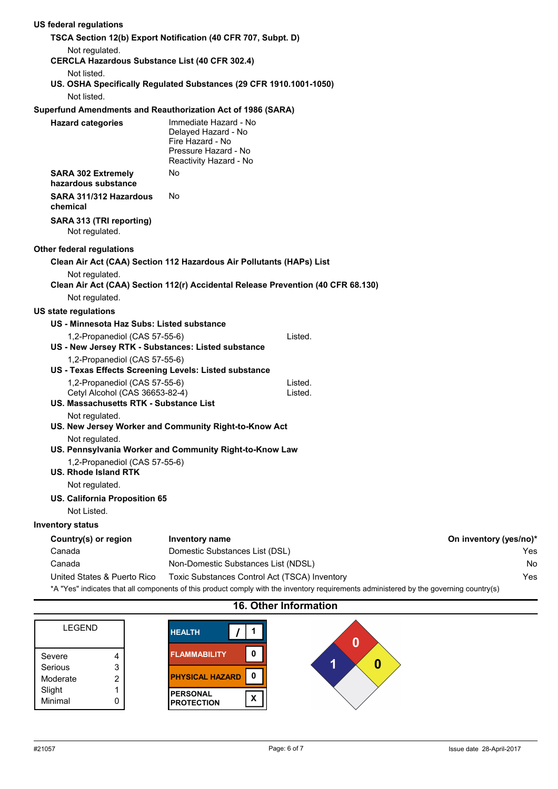| US federal regulations                                                   |                                                                                                                    |                                                                                                                                        |                        |
|--------------------------------------------------------------------------|--------------------------------------------------------------------------------------------------------------------|----------------------------------------------------------------------------------------------------------------------------------------|------------------------|
|                                                                          | TSCA Section 12(b) Export Notification (40 CFR 707, Subpt. D)                                                      |                                                                                                                                        |                        |
| Not regulated.                                                           |                                                                                                                    |                                                                                                                                        |                        |
| <b>CERCLA Hazardous Substance List (40 CFR 302.4)</b>                    |                                                                                                                    |                                                                                                                                        |                        |
| Not listed.                                                              |                                                                                                                    |                                                                                                                                        |                        |
|                                                                          | US. OSHA Specifically Regulated Substances (29 CFR 1910.1001-1050)                                                 |                                                                                                                                        |                        |
| Not listed.                                                              |                                                                                                                    |                                                                                                                                        |                        |
|                                                                          | Superfund Amendments and Reauthorization Act of 1986 (SARA)                                                        |                                                                                                                                        |                        |
| <b>Hazard categories</b>                                                 | Immediate Hazard - No<br>Delayed Hazard - No<br>Fire Hazard - No<br>Pressure Hazard - No<br>Reactivity Hazard - No |                                                                                                                                        |                        |
| <b>SARA 302 Extremely</b><br>hazardous substance                         | No                                                                                                                 |                                                                                                                                        |                        |
| SARA 311/312 Hazardous<br>chemical                                       | No                                                                                                                 |                                                                                                                                        |                        |
| SARA 313 (TRI reporting)<br>Not regulated.                               |                                                                                                                    |                                                                                                                                        |                        |
| <b>Other federal regulations</b>                                         |                                                                                                                    |                                                                                                                                        |                        |
|                                                                          | Clean Air Act (CAA) Section 112 Hazardous Air Pollutants (HAPs) List                                               |                                                                                                                                        |                        |
| Not regulated.                                                           |                                                                                                                    |                                                                                                                                        |                        |
|                                                                          | Clean Air Act (CAA) Section 112(r) Accidental Release Prevention (40 CFR 68.130)                                   |                                                                                                                                        |                        |
| Not regulated.                                                           |                                                                                                                    |                                                                                                                                        |                        |
| <b>US state regulations</b>                                              |                                                                                                                    |                                                                                                                                        |                        |
| US - Minnesota Haz Subs: Listed substance                                |                                                                                                                    |                                                                                                                                        |                        |
| 1,2-Propanediol (CAS 57-55-6)                                            | Listed.                                                                                                            |                                                                                                                                        |                        |
| US - New Jersey RTK - Substances: Listed substance                       |                                                                                                                    |                                                                                                                                        |                        |
| 1,2-Propanediol (CAS 57-55-6)                                            |                                                                                                                    |                                                                                                                                        |                        |
| US - Texas Effects Screening Levels: Listed substance                    |                                                                                                                    |                                                                                                                                        |                        |
| 1,2-Propanediol (CAS 57-55-6)                                            | Listed.                                                                                                            |                                                                                                                                        |                        |
| Cetyl Alcohol (CAS 36653-82-4)<br>US. Massachusetts RTK - Substance List | Listed.                                                                                                            |                                                                                                                                        |                        |
| Not regulated.                                                           |                                                                                                                    |                                                                                                                                        |                        |
|                                                                          | US. New Jersey Worker and Community Right-to-Know Act                                                              |                                                                                                                                        |                        |
| Not regulated.                                                           | US. Pennsylvania Worker and Community Right-to-Know Law                                                            |                                                                                                                                        |                        |
| 1,2-Propanediol (CAS 57-55-6)<br><b>US. Rhode Island RTK</b>             |                                                                                                                    |                                                                                                                                        |                        |
| Not regulated.                                                           |                                                                                                                    |                                                                                                                                        |                        |
| US. California Proposition 65                                            |                                                                                                                    |                                                                                                                                        |                        |
| Not Listed.                                                              |                                                                                                                    |                                                                                                                                        |                        |
| <b>Inventory status</b>                                                  |                                                                                                                    |                                                                                                                                        |                        |
| Country(s) or region                                                     | Inventory name                                                                                                     |                                                                                                                                        | On inventory (yes/no)* |
| Canada                                                                   | Domestic Substances List (DSL)                                                                                     |                                                                                                                                        | Yes                    |
| Canada                                                                   | Non-Domestic Substances List (NDSL)                                                                                |                                                                                                                                        | No                     |
| United States & Puerto Rico                                              | Toxic Substances Control Act (TSCA) Inventory                                                                      |                                                                                                                                        | Yes                    |
|                                                                          |                                                                                                                    | *A "Yes" indicates that all components of this product comply with the inventory requirements administered by the governing country(s) |                        |